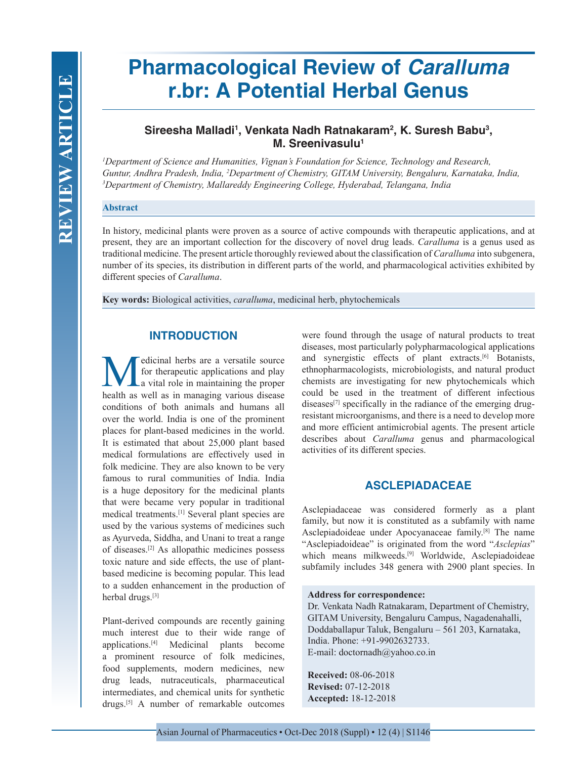# **Pharmacological Review of** *Caralluma* **r.br: A Potential Herbal Genus**

# **Sireesha Malladi1 , Venkata Nadh Ratnakaram2 , K. Suresh Babu3 , M. Sreenivasulu<sup>1</sup>**

*1 Department of Science and Humanities, Vignan's Foundation for Science, Technology and Research, Guntur, Andhra Pradesh, India, 2 Department of Chemistry, GITAM University, Bengaluru, Karnataka, India, 3 Department of Chemistry, Mallareddy Engineering College, Hyderabad, Telangana, India*

## **Abstract**

In history, medicinal plants were proven as a source of active compounds with therapeutic applications, and at present, they are an important collection for the discovery of novel drug leads. *Caralluma* is a genus used as traditional medicine. The present article thoroughly reviewed about the classification of *Caralluma* into subgenera, number of its species, its distribution in different parts of the world, and pharmacological activities exhibited by different species of *Caralluma*.

**Key words:** Biological activities, *caralluma*, medicinal herb, phytochemicals

# **INTRODUCTION**

Medicinal herbs are a versatile source<br>for therapeutic applications and play<br>health as well as in managing various disease for therapeutic applications and play a vital role in maintaining the proper health as well as in managing various disease conditions of both animals and humans all over the world. India is one of the prominent places for plant-based medicines in the world. It is estimated that about 25,000 plant based medical formulations are effectively used in folk medicine. They are also known to be very famous to rural communities of India. India is a huge depository for the medicinal plants that were became very popular in traditional medical treatments.[1] Several plant species are used by the various systems of medicines such as Ayurveda, Siddha, and Unani to treat a range of diseases.[2] As allopathic medicines possess toxic nature and side effects, the use of plantbased medicine is becoming popular. This lead to a sudden enhancement in the production of herbal drugs.<sup>[3]</sup>

Plant-derived compounds are recently gaining much interest due to their wide range of applications.[4] Medicinal plants become a prominent resource of folk medicines, food supplements, modern medicines, new drug leads, nutraceuticals, pharmaceutical intermediates, and chemical units for synthetic drugs.[5] A number of remarkable outcomes

were found through the usage of natural products to treat diseases, most particularly polypharmacological applications and synergistic effects of plant extracts.<sup>[6]</sup> Botanists, ethnopharmacologists, microbiologists, and natural product chemists are investigating for new phytochemicals which could be used in the treatment of different infectious diseases $[7]$  specifically in the radiance of the emerging drugresistant microorganisms, and there is a need to develop more and more efficient antimicrobial agents. The present article describes about *Caralluma* genus and pharmacological activities of its different species.

# **ASCLEPIADACEAE**

Asclepiadaceae was considered formerly as a plant family, but now it is constituted as a subfamily with name Asclepiadoideae under Apocyanaceae family.[8] The name "Asclepiadoideae" is originated from the word "*Asclepias*" which means milkweeds.<sup>[9]</sup> Worldwide, Asclepiadoideae subfamily includes 348 genera with 2900 plant species. In

#### **Address for correspondence:**

Dr. Venkata Nadh Ratnakaram, Department of Chemistry, GITAM University, Bengaluru Campus, Nagadenahalli, Doddaballapur Taluk, Bengaluru – 561 203, Karnataka, India. Phone: +91-9902632733. E-mail: doctornadh@yahoo.co.in

**Received:** 08-06-2018 **Revised:** 07-12-2018 **Accepted:** 18-12-2018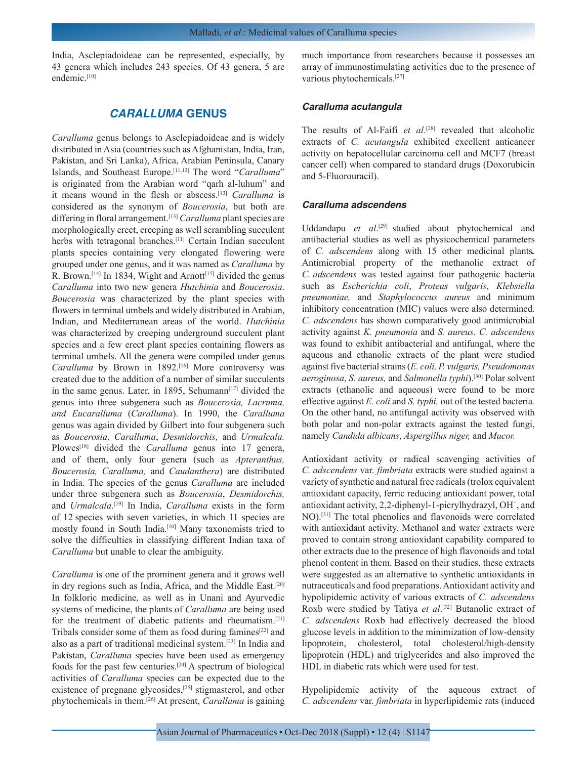India, Asclepiadoideae can be represented, especially, by 43 genera which includes 243 species. Of 43 genera, 5 are endemic.<sup>[10]</sup>

## *CARALLUMA* **GENUS**

*Caralluma* genus belongs to Asclepiadoideae and is widely distributed in Asia (countries such as Afghanistan, India, Iran, Pakistan, and Sri Lanka), Africa, Arabian Peninsula, Canary Islands, and Southeast Europe.[11,12] The word "*Caralluma*" is originated from the Arabian word "qarh al-luhum" and it means wound in the flesh or abscess.[13] *Caralluma* is considered as the synonym of *Boucerosia*, but both are differing in floral arrangement.[13] *Caralluma* plant species are morphologically erect, creeping as well scrambling succulent herbs with tetragonal branches.<sup>[11]</sup> Certain Indian succulent plants species containing very elongated flowering were grouped under one genus, and it was named as *Caralluma* by R. Brown.<sup>[14]</sup> In 1834, Wight and Arnott<sup>[15]</sup> divided the genus *Caralluma* into two new genera *Hutchinia* and *Boucerosia*. *Boucerosia* was characterized by the plant species with flowers in terminal umbels and widely distributed in Arabian, Indian, and Mediterranean areas of the world. *Hutchinia* was characterized by creeping underground succulent plant species and a few erect plant species containing flowers as terminal umbels. All the genera were compiled under genus Caralluma by Brown in 1892.<sup>[16]</sup> More controversy was created due to the addition of a number of similar succulents in the same genus. Later, in 1895, Schumann $[17]$  divided the genus into three subgenera such as *Boucerosia, Lacruma, and Eucaralluma* (*Caralluma*). In 1990, the *Caralluma* genus was again divided by Gilbert into four subgenera such as *Boucerosia*, *Caralluma*, *Desmidorchis,* and *Urmalcala.*  Plowes<sup>[18]</sup> divided the *Caralluma* genus into 17 genera, and of them, only four genera (such as *Apteranthus, Boucerosia, Caralluma,* and *Caudanthera*) are distributed in India. The species of the genus *Caralluma* are included under three subgenera such as *Boucerosia*, *Desmidorchis,* and *Urmalcala*. [19] In India, *Caralluma* exists in the form of 12 species with seven varieties, in which 11 species are mostly found in South India.[10] Many taxonomists tried to solve the difficulties in classifying different Indian taxa of *Caralluma* but unable to clear the ambiguity.

*Caralluma* is one of the prominent genera and it grows well in dry regions such as India, Africa, and the Middle East.<sup>[20]</sup> In folkloric medicine, as well as in Unani and Ayurvedic systems of medicine, the plants of *Caralluma* are being used for the treatment of diabetic patients and rheumatism.[21] Tribals consider some of them as food during famines<sup>[22]</sup> and also as a part of traditional medicinal system.[23] In India and Pakistan, *Caralluma* species have been used as emergency foods for the past few centuries.[24] A spectrum of biological activities of *Caralluma* species can be expected due to the existence of pregnane glycosides,<sup>[25]</sup> stigmasterol, and other phytochemicals in them.[26] At present, *Caralluma* is gaining much importance from researchers because it possesses an array of immunostimulating activities due to the presence of various phytochemicals.[27]

## *Caralluma acutangula*

The results of Al-Faifi *et al*. [28] revealed that alcoholic extracts of *C. acutangula* exhibited excellent anticancer activity on hepatocellular carcinoma cell and MCF7 (breast cancer cell) when compared to standard drugs (Doxorubicin and 5-Fluorouracil).

## *Caralluma adscendens*

Uddandapu *et al*. [29] studied about phytochemical and antibacterial studies as well as physicochemical parameters of *C. adscendens* along with 15 other medicinal plants*.*  Antimicrobial property of the methanolic extract of *C. adscendens* was tested against four pathogenic bacteria such as *Escherichia coli*, *Proteus vulgaris*, *Klebsiella pneumoniae,* and *Staphylococcus aureus* and minimum inhibitory concentration (MIC) values were also determined. *C. adscendens* has shown comparatively good antimicrobial activity against *K. pneumonia* and *S. aureus. C. adscendens*  was found to exhibit antibacterial and antifungal, where the aqueous and ethanolic extracts of the plant were studied against five bacterial strains (*E. coli, P. vulgaris, Pseudomonas aeroginosa*, *S. aureus,* and *Salmonella typhi*).[30] Polar solvent extracts (ethanolic and aqueous) were found to be more effective against *E. coli* and *S. typhi,* out of the tested bacteria*.*  On the other hand, no antifungal activity was observed with both polar and non-polar extracts against the tested fungi, namely *Candida albicans*, *Aspergillus niger,* and *Mucor.*

Antioxidant activity or radical scavenging activities of *C. adscendens* var. *fimbriata* extracts were studied against a variety of synthetic and natural free radicals (trolox equivalent antioxidant capacity, ferric reducing antioxidant power, total antioxidant activity, 2,2-diphenyl-1-picrylhydrazyl, OH˙, and NO).[31] The total phenolics and flavonoids were correlated with antioxidant activity. Methanol and water extracts were proved to contain strong antioxidant capability compared to other extracts due to the presence of high flavonoids and total phenol content in them. Based on their studies, these extracts were suggested as an alternative to synthetic antioxidants in nutraceuticals and food preparations. Antioxidant activity and hypolipidemic activity of various extracts of *C. adscendens* Roxb were studied by Tatiya et al.<sup>[32]</sup> Butanolic extract of *C. adscendens* Roxb had effectively decreased the blood glucose levels in addition to the minimization of low-density lipoprotein, cholesterol, total cholesterol/high-density lipoprotein (HDL) and triglycerides and also improved the HDL in diabetic rats which were used for test.

Hypolipidemic activity of the aqueous extract of *C. adscendens* var. *fimbriata* in hyperlipidemic rats (induced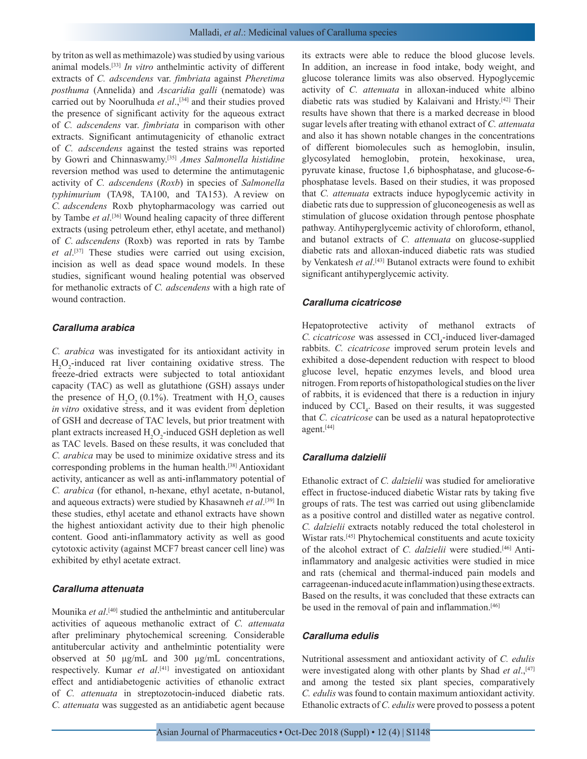by triton as well as methimazole) was studied by using various animal models.[33] *In vitro* anthelmintic activity of different extracts of *C. adscendens* var. *fimbriata* against *Pheretima posthuma* (Annelida) and *Ascaridia galli* (nematode) was carried out by Noorulhuda *et al.*,<sup>[34]</sup> and their studies proved the presence of significant activity for the aqueous extract of *C. adscendens* var. *fimbriata* in comparison with other extracts. Significant antimutagenicity of ethanolic extract of *C. adscendens* against the tested strains was reported by Gowri and Chinnaswamy.[35] *Ames Salmonella histidine*  reversion method was used to determine the antimutagenic activity of *C. adscendens* (*Roxb*) in species of *Salmonella typhimurium* (TA98, TA100, and TA153). A review on *C. adscendens* Roxb phytopharmacology was carried out by Tambe *et al*.<sup>[36]</sup> Wound healing capacity of three different extracts (using petroleum ether, ethyl acetate, and methanol) of *C. adscendens* (Roxb) was reported in rats by Tambe *et al*. [37] These studies were carried out using excision, incision as well as dead space wound models. In these studies, significant wound healing potential was observed for methanolic extracts of *C. adscendens* with a high rate of wound contraction.

#### *Caralluma arabica*

*C. arabica* was investigated for its antioxidant activity in  $H_2O_2$ -induced rat liver containing oxidative stress. The freeze-dried extracts were subjected to total antioxidant capacity (TAC) as well as glutathione (GSH) assays under the presence of  $H_2O_2(0.1\%)$ . Treatment with  $H_2O_2$  causes *in vitro* oxidative stress, and it was evident from depletion of GSH and decrease of TAC levels, but prior treatment with plant extracts increased  $H_2O_2$ -induced GSH depletion as well as TAC levels. Based on these results, it was concluded that *C. arabica* may be used to minimize oxidative stress and its corresponding problems in the human health.[38] Antioxidant activity, anticancer as well as anti-inflammatory potential of *C. arabica* (for ethanol, n-hexane, ethyl acetate, n-butanol, and aqueous extracts) were studied by Khasawneh *et al*. [39] In these studies, ethyl acetate and ethanol extracts have shown the highest antioxidant activity due to their high phenolic content. Good anti-inflammatory activity as well as good cytotoxic activity (against MCF7 breast cancer cell line) was exhibited by ethyl acetate extract.

#### *Caralluma attenuata*

Mounika *et al*. [40] studied the anthelmintic and antitubercular activities of aqueous methanolic extract of *C. attenuata*  after preliminary phytochemical screening*.* Considerable antitubercular activity and anthelmintic potentiality were observed at 50 μg/mL and 300 μg/mL concentrations, respectively. Kumar *et al*. [41] investigated on antioxidant effect and antidiabetogenic activities of ethanolic extract of *C. attenuata* in streptozotocin-induced diabetic rats. *C. attenuata* was suggested as an antidiabetic agent because

its extracts were able to reduce the blood glucose levels. In addition, an increase in food intake, body weight, and glucose tolerance limits was also observed. Hypoglycemic activity of *C. attenuata* in alloxan-induced white albino diabetic rats was studied by Kalaivani and Hristy.[42] Their results have shown that there is a marked decrease in blood sugar levels after treating with ethanol extract of *C. attenuata*  and also it has shown notable changes in the concentrations of different biomolecules such as hemoglobin, insulin, glycosylated hemoglobin, protein, hexokinase, urea, pyruvate kinase, fructose 1,6 biphosphatase, and glucose-6 phosphatase levels. Based on their studies, it was proposed that *C. attenuata* extracts induce hypoglycemic activity in diabetic rats due to suppression of gluconeogenesis as well as stimulation of glucose oxidation through pentose phosphate pathway. Antihyperglycemic activity of chloroform, ethanol, and butanol extracts of *C. attenuata* on glucose-supplied diabetic rats and alloxan-induced diabetic rats was studied by Venkatesh *et al*. [43] Butanol extracts were found to exhibit significant antihyperglycemic activity.

#### *Caralluma cicatricose*

Hepatoprotective activity of methanol extracts of *C. cicatricose* was assessed in CCl<sub>4</sub>-induced liver-damaged rabbits. *C. cicatricose* improved serum protein levels and exhibited a dose-dependent reduction with respect to blood glucose level, hepatic enzymes levels, and blood urea nitrogen. From reports of histopathological studies on the liver of rabbits, it is evidenced that there is a reduction in injury induced by CCl<sub>4</sub>. Based on their results, it was suggested that *C. cicatricose* can be used as a natural hepatoprotective agent.[44]

#### *Caralluma dalzielii*

Ethanolic extract of *C. dalzielii* was studied for ameliorative effect in fructose-induced diabetic Wistar rats by taking five groups of rats. The test was carried out using glibenclamide as a positive control and distilled water as negative control. *C. dalzielii* extracts notably reduced the total cholesterol in Wistar rats.[45] Phytochemical constituents and acute toxicity of the alcohol extract of *C. dalzielii* were studied.[46] Antiinflammatory and analgesic activities were studied in mice and rats (chemical and thermal-induced pain models and carrageenan-induced acute inflammation) using these extracts. Based on the results, it was concluded that these extracts can be used in the removal of pain and inflammation.[46]

#### *Caralluma edulis*

Nutritional assessment and antioxidant activity of *C. edulis*  were investigated along with other plants by Shad *et al.*,<sup>[47]</sup> and among the tested six plant species, comparatively *C. edulis* was found to contain maximum antioxidant activity. Ethanolic extracts of *C. edulis* were proved to possess a potent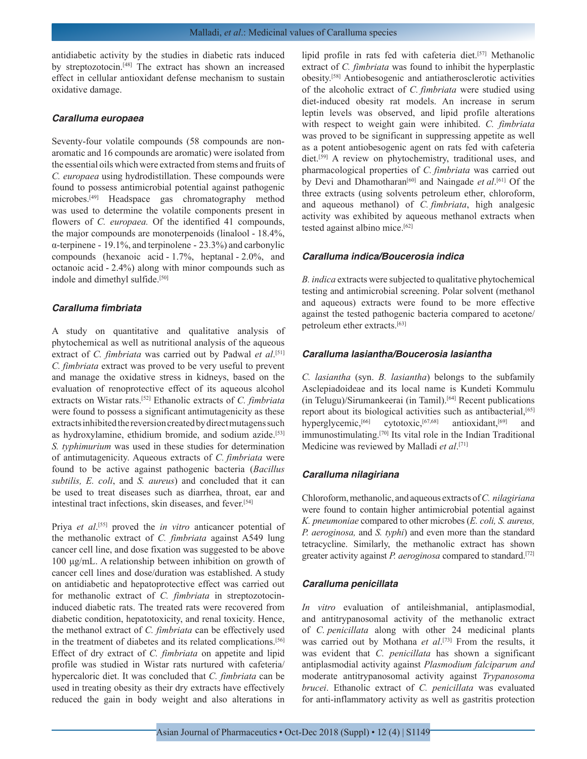antidiabetic activity by the studies in diabetic rats induced by streptozotocin.[48] The extract has shown an increased effect in cellular antioxidant defense mechanism to sustain oxidative damage.

#### *Caralluma europaea*

Seventy-four volatile compounds (58 compounds are nonaromatic and 16 compounds are aromatic) were isolated from the essential oils which were extracted from stems and fruits of *C. europaea* using hydrodistillation. These compounds were found to possess antimicrobial potential against pathogenic microbes.[49] Headspace gas chromatography method was used to determine the volatile components present in flowers of *C. europaea*. Of the identified 41 compounds, the major compounds are monoterpenoids (linalool - 18.4%, α-terpinene - 19.1%, and terpinolene - 23.3%) and carbonylic compounds (hexanoic acid - 1.7%, heptanal - 2.0%, and octanoic acid - 2.4%) along with minor compounds such as indole and dimethyl sulfide.<sup>[50]</sup>

## *Caralluma fimbriata*

A study on quantitative and qualitative analysis of phytochemical as well as nutritional analysis of the aqueous extract of *C. fimbriata* was carried out by Padwal et al.<sup>[51]</sup> *C. fimbriata* extract was proved to be very useful to prevent and manage the oxidative stress in kidneys, based on the evaluation of renoprotective effect of its aqueous alcohol extracts on Wistar rats.[52] Ethanolic extracts of *C. fimbriata*  were found to possess a significant antimutagenicity as these extracts inhibited the reversion created by direct mutagens such as hydroxylamine, ethidium bromide, and sodium azide.[53] *S. typhimurium* was used in these studies for determination of antimutagenicity. Aqueous extracts of *C. fimbriata* were found to be active against pathogenic bacteria (*Bacillus subtilis, E. coli*, and *S. aureus*) and concluded that it can be used to treat diseases such as diarrhea, throat, ear and intestinal tract infections, skin diseases, and fever.[54]

Priya *et al.*<sup>[55]</sup> proved the *in vitro* anticancer potential of the methanolic extract of *C. fimbriata* against A549 lung cancer cell line, and dose fixation was suggested to be above 100 μg/mL. A relationship between inhibition on growth of cancer cell lines and dose/duration was established. A study on antidiabetic and hepatoprotective effect was carried out for methanolic extract of *C. fimbriata* in streptozotocininduced diabetic rats. The treated rats were recovered from diabetic condition, hepatotoxicity, and renal toxicity. Hence, the methanol extract of *C. fimbriata* can be effectively used in the treatment of diabetes and its related complications.<sup>[56]</sup> Effect of dry extract of *C. fimbriata* on appetite and lipid profile was studied in Wistar rats nurtured with cafeteria/ hypercaloric diet. It was concluded that *C. fimbriata* can be used in treating obesity as their dry extracts have effectively reduced the gain in body weight and also alterations in

lipid profile in rats fed with cafeteria diet.[57] Methanolic extract of *C. fimbriata* was found to inhibit the hyperplastic obesity.[58] Antiobesogenic and antiatherosclerotic activities of the alcoholic extract of *C. fimbriata* were studied using diet-induced obesity rat models. An increase in serum leptin levels was observed, and lipid profile alterations with respect to weight gain were inhibited. *C. fimbriata* was proved to be significant in suppressing appetite as well as a potent antiobesogenic agent on rats fed with cafeteria diet.[59] A review on phytochemistry, traditional uses, and pharmacological properties of *C. fimbriata* was carried out by Devi and Dhamotharan<sup>[60]</sup> and Naingade *et al*.<sup>[61]</sup> Of the three extracts (using solvents petroleum ether, chloroform, and aqueous methanol) of *C. fimbriata*, high analgesic activity was exhibited by aqueous methanol extracts when tested against albino mice.<sup>[62]</sup>

#### *Caralluma indica/Boucerosia indica*

*B. indica* extracts were subjected to qualitative phytochemical testing and antimicrobial screening. Polar solvent (methanol and aqueous) extracts were found to be more effective against the tested pathogenic bacteria compared to acetone/ petroleum ether extracts.[63]

## *Caralluma lasiantha/Boucerosia lasiantha*

*C. lasiantha* (syn. *B. lasiantha*) belongs to the subfamily Asclepiadoideae and its local name is Kundeti Kommulu (in Telugu)/Sirumankeerai (in Tamil).[64] Recent publications report about its biological activities such as antibacterial,<sup>[65]</sup> hyperglycemic,<sup>[66]</sup> cytotoxic,<sup>[67,68]</sup> antioxidant,<sup>[69]</sup> and immunostimulating.[70] Its vital role in the Indian Traditional Medicine was reviewed by Malladi *et al*. [71]

#### *Caralluma nilagiriana*

Chloroform, methanolic, and aqueous extracts of *C. nilagiriana*  were found to contain higher antimicrobial potential against *K. pneumoniae* compared to other microbes (*E. coli, S. aureus, P. aeroginosa,* and *S. typhi*) and even more than the standard tetracycline. Similarly, the methanolic extract has shown greater activity against *P. aeroginosa* compared to standard.[72]

#### *Caralluma penicillata*

*In vitro* evaluation of antileishmanial, antiplasmodial, and antitrypanosomal activity of the methanolic extract of *C. penicillata* along with other 24 medicinal plants was carried out by Mothana *et al*. [73] From the results, it was evident that *C. penicillata* has shown a significant antiplasmodial activity against *Plasmodium falciparum and*  moderate antitrypanosomal activity against *Trypanosoma brucei*. Ethanolic extract of *C. penicillata* was evaluated for anti-inflammatory activity as well as gastritis protection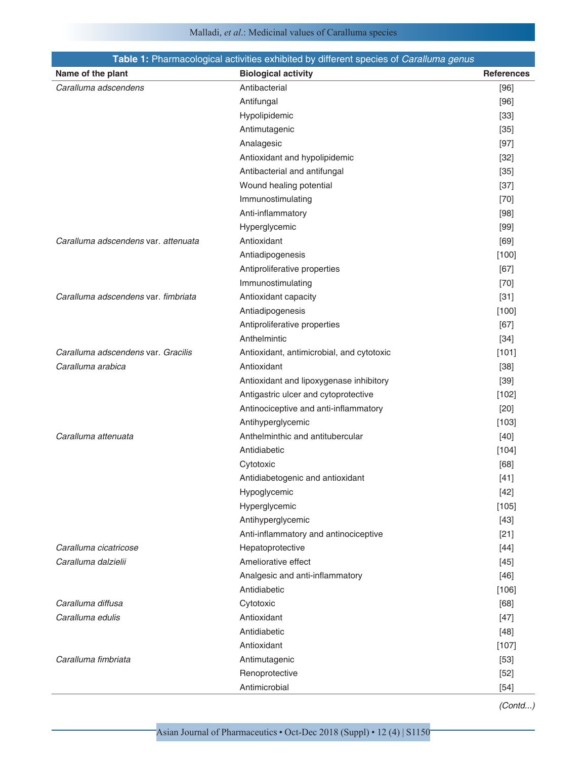# Malladi, *et al*.: Medicinal values of Caralluma species

| Table 1: Pharmacological activities exhibited by different species of Caralluma genus |                                           |                   |  |
|---------------------------------------------------------------------------------------|-------------------------------------------|-------------------|--|
| Name of the plant                                                                     | <b>Biological activity</b>                | <b>References</b> |  |
| Caralluma adscendens                                                                  | Antibacterial                             | $[96]$            |  |
|                                                                                       | Antifungal                                | $[96]$            |  |
|                                                                                       | Hypolipidemic                             | $[33]$            |  |
|                                                                                       | Antimutagenic                             | $[35]$            |  |
|                                                                                       | Analagesic                                | $[97]$            |  |
|                                                                                       | Antioxidant and hypolipidemic             | $[32]$            |  |
|                                                                                       | Antibacterial and antifungal              | $[35]$            |  |
|                                                                                       | Wound healing potential                   | $[37]$            |  |
|                                                                                       | Immunostimulating                         | $[70]$            |  |
|                                                                                       | Anti-inflammatory                         | $[98]$            |  |
|                                                                                       | Hyperglycemic                             | $[99]$            |  |
| Caralluma adscendens var. attenuata                                                   | Antioxidant                               | [69]              |  |
|                                                                                       | Antiadipogenesis                          | $[100]$           |  |
|                                                                                       | Antiproliferative properties              | $[67]$            |  |
|                                                                                       | Immunostimulating                         | $[70]$            |  |
| Caralluma adscendens var. fimbriata                                                   | Antioxidant capacity                      | $[31]$            |  |
|                                                                                       | Antiadipogenesis                          | $[100]$           |  |
|                                                                                       | Antiproliferative properties              | $[67]$            |  |
|                                                                                       | Anthelmintic                              | $[34]$            |  |
| Caralluma adscendens var. Gracilis                                                    | Antioxidant, antimicrobial, and cytotoxic | [101]             |  |
| Caralluma arabica                                                                     | Antioxidant                               | $[38]$            |  |
|                                                                                       | Antioxidant and lipoxygenase inhibitory   | $[39]$            |  |
|                                                                                       | Antigastric ulcer and cytoprotective      | [102]             |  |
|                                                                                       | Antinociceptive and anti-inflammatory     | $[20]$            |  |
|                                                                                       | Antihyperglycemic                         | $[103]$           |  |
| Caralluma attenuata                                                                   | Anthelminthic and antitubercular          | $[40]$            |  |
|                                                                                       | Antidiabetic                              | [104]             |  |
|                                                                                       | Cytotoxic                                 | [68]              |  |
|                                                                                       | Antidiabetogenic and antioxidant          | [41]              |  |
|                                                                                       | Hypoglycemic                              | $[42]$            |  |
|                                                                                       | Hyperglycemic                             | $[105]$           |  |
|                                                                                       | Antihyperglycemic                         | $[43]$            |  |
|                                                                                       | Anti-inflammatory and antinociceptive     | $[21]$            |  |
| Caralluma cicatricose                                                                 | Hepatoprotective                          | $[44]$            |  |
| Caralluma dalzielii                                                                   | Ameliorative effect                       | $[45]$            |  |
|                                                                                       | Analgesic and anti-inflammatory           | $[46]$            |  |
|                                                                                       | Antidiabetic                              | [106]             |  |
| Caralluma diffusa                                                                     | Cytotoxic                                 | [68]              |  |
| Caralluma edulis                                                                      | Antioxidant                               | $[47]$            |  |
|                                                                                       | Antidiabetic                              | $[48]$            |  |
|                                                                                       | Antioxidant                               | $[107]$           |  |
| Caralluma fimbriata                                                                   | Antimutagenic                             | $[53]$            |  |
|                                                                                       | Renoprotective                            | $[52]$            |  |
|                                                                                       | Antimicrobial                             | $[54]$            |  |

*(Contd...)*

Asian Journal of Pharmaceutics • Oct-Dec 2018 (Suppl) • 12 (4) | S1150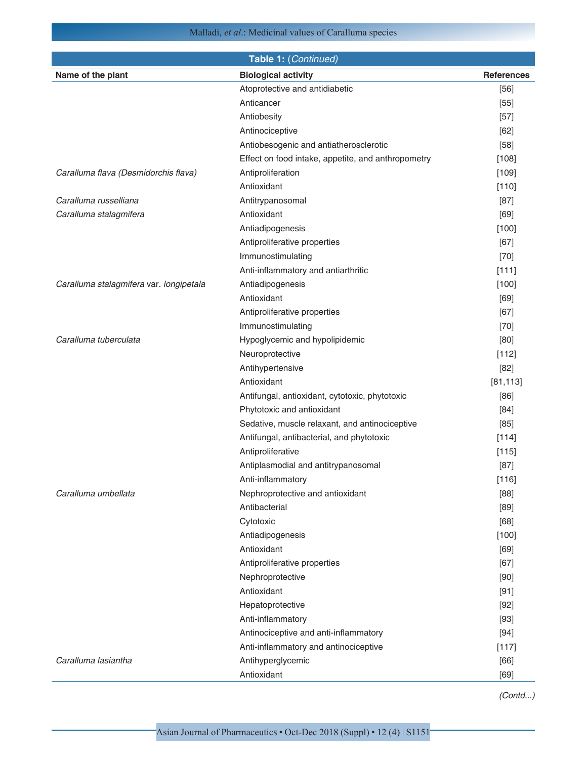Malladi, *et al*.: Medicinal values of Caralluma species

| Name of the plant<br><b>Biological activity</b><br><b>References</b><br>Atoprotective and antidiabetic<br>$[56]$ |  |
|------------------------------------------------------------------------------------------------------------------|--|
|                                                                                                                  |  |
|                                                                                                                  |  |
| Anticancer<br>$[55]$                                                                                             |  |
| Antiobesity<br>$[57]$                                                                                            |  |
| Antinociceptive<br>$[62]$                                                                                        |  |
| Antiobesogenic and antiatherosclerotic<br>$[58]$                                                                 |  |
| Effect on food intake, appetite, and anthropometry<br>[108]                                                      |  |
| Caralluma flava (Desmidorchis flava)<br>Antiproliferation<br>[109]                                               |  |
| Antioxidant<br>[110]                                                                                             |  |
| Caralluma russelliana<br>Antitrypanosomal<br>$[87]$                                                              |  |
| Antioxidant<br>Caralluma stalagmifera<br>[69]                                                                    |  |
| Antiadipogenesis<br>[100]                                                                                        |  |
| Antiproliferative properties<br>$[67]$                                                                           |  |
| Immunostimulating<br>$[70]$                                                                                      |  |
| Anti-inflammatory and antiarthritic<br>[111]                                                                     |  |
| Antiadipogenesis<br>Caralluma stalagmifera var. longipetala<br>[100]                                             |  |
| Antioxidant<br>[69]                                                                                              |  |
| Antiproliferative properties<br>$[67]$                                                                           |  |
| Immunostimulating<br>$[70]$                                                                                      |  |
| Caralluma tuberculata<br>Hypoglycemic and hypolipidemic<br>[80]                                                  |  |
| Neuroprotective<br>[112]                                                                                         |  |
| Antihypertensive<br>$[82]$                                                                                       |  |
| Antioxidant<br>[81, 113]                                                                                         |  |
| Antifungal, antioxidant, cytotoxic, phytotoxic<br>$[86]$                                                         |  |
| Phytotoxic and antioxidant<br>[84]                                                                               |  |
| Sedative, muscle relaxant, and antinociceptive<br>[85]                                                           |  |
| Antifungal, antibacterial, and phytotoxic<br>[114]                                                               |  |
| Antiproliferative<br>[115]                                                                                       |  |
| Antiplasmodial and antitrypanosomal<br>$[87]$                                                                    |  |
| Anti-inflammatory<br>[116]                                                                                       |  |
| Caralluma umbellata<br>Nephroprotective and antioxidant<br>[88]                                                  |  |
| Antibacterial<br>$[89]$                                                                                          |  |
| Cytotoxic<br>[68]                                                                                                |  |
| $[100]$<br>Antiadipogenesis                                                                                      |  |
| Antioxidant<br>[69]                                                                                              |  |
| Antiproliferative properties<br>$[67]$                                                                           |  |
| Nephroprotective<br>$[90]$                                                                                       |  |
| Antioxidant<br>$[91]$                                                                                            |  |
| $[92]$<br>Hepatoprotective                                                                                       |  |
| Anti-inflammatory<br>$[93]$                                                                                      |  |
| Antinociceptive and anti-inflammatory<br>$[94]$                                                                  |  |
| Anti-inflammatory and antinociceptive<br>[117]                                                                   |  |
| Caralluma lasiantha<br>Antihyperglycemic<br>[66]                                                                 |  |
| Antioxidant<br>$[69]$                                                                                            |  |

*(Contd...)*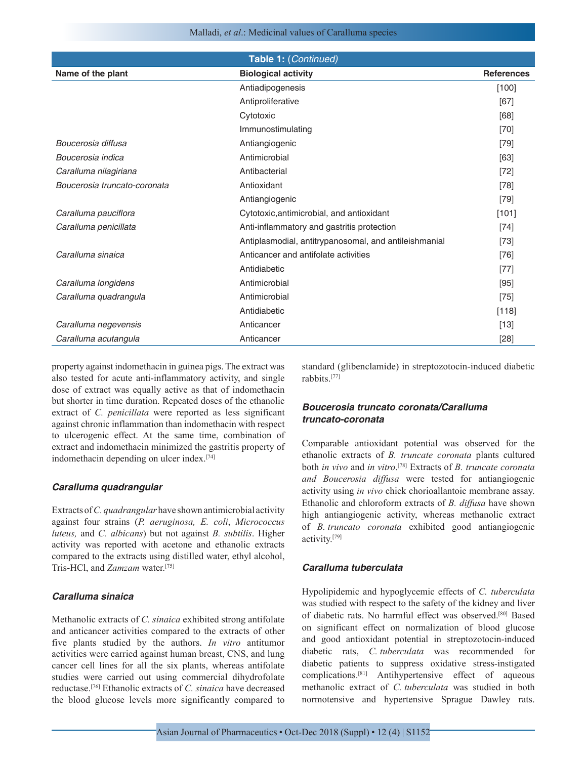Malladi, *et al*.: Medicinal values of Caralluma species

| Table 1: (Continued)         |                                                       |                   |  |
|------------------------------|-------------------------------------------------------|-------------------|--|
| Name of the plant            | <b>Biological activity</b>                            | <b>References</b> |  |
|                              | Antiadipogenesis                                      | $[100]$           |  |
|                              | Antiproliferative                                     | [67]              |  |
|                              | Cytotoxic                                             | [68]              |  |
|                              | Immunostimulating                                     | $[70]$            |  |
| Boucerosia diffusa           | Antiangiogenic                                        | $[79]$            |  |
| Boucerosia indica            | Antimicrobial                                         | $[63]$            |  |
| Caralluma nilagiriana        | Antibacterial                                         | $[72]$            |  |
| Boucerosia truncato-coronata | Antioxidant                                           | $[78]$            |  |
|                              | Antiangiogenic                                        | $[79]$            |  |
| Caralluma pauciflora         | Cytotoxic, antimicrobial, and antioxidant             | [101]             |  |
| Caralluma penicillata        | Anti-inflammatory and gastritis protection            | $[74]$            |  |
|                              | Antiplasmodial, antitrypanosomal, and antileishmanial | $[73]$            |  |
| Caralluma sinaica            | Anticancer and antifolate activities                  | $[76]$            |  |
|                              | Antidiabetic                                          | $[77]$            |  |
| Caralluma longidens          | Antimicrobial                                         | $[95]$            |  |
| Caralluma quadrangula        | Antimicrobial                                         | $[75]$            |  |
|                              | Antidiabetic                                          | $[118]$           |  |
| Caralluma negevensis         | Anticancer                                            | $[13]$            |  |
| Caralluma acutangula         | Anticancer                                            | $[28]$            |  |

property against indomethacin in guinea pigs. The extract was also tested for acute anti-inflammatory activity, and single dose of extract was equally active as that of indomethacin but shorter in time duration. Repeated doses of the ethanolic extract of *C. penicillata* were reported as less significant against chronic inflammation than indomethacin with respect to ulcerogenic effect. At the same time, combination of extract and indomethacin minimized the gastritis property of indomethacin depending on ulcer index.[74]

#### *Caralluma quadrangular*

Extracts of *C. quadrangular* have shown antimicrobial activity against four strains (*P. aeruginosa, E. coli*, *Micrococcus luteus,* and *C. albicans*) but not against *B. subtilis*. Higher activity was reported with acetone and ethanolic extracts compared to the extracts using distilled water, ethyl alcohol, Tris-HCl, and *Zamzam* water.[75]

## *Caralluma sinaica*

Methanolic extracts of *C. sinaica* exhibited strong antifolate and anticancer activities compared to the extracts of other five plants studied by the authors. *In vitro* antitumor activities were carried against human breast, CNS, and lung cancer cell lines for all the six plants, whereas antifolate studies were carried out using commercial dihydrofolate reductase.[76] Ethanolic extracts of *C. sinaica* have decreased the blood glucose levels more significantly compared to standard (glibenclamide) in streptozotocin-induced diabetic rabbits<sup>[77]</sup>

## *Boucerosia truncato coronata/Caralluma truncato-coronata*

Comparable antioxidant potential was observed for the ethanolic extracts of *B. truncate coronata* plants cultured both *in vivo* and *in vitro*. [78] Extracts of *B. truncate coronata and Boucerosia diffusa* were tested for antiangiogenic activity using *in vivo* chick chorioallantoic membrane assay. Ethanolic and chloroform extracts of *B. diffusa* have shown high antiangiogenic activity, whereas methanolic extract of *B. truncato coronata* exhibited good antiangiogenic activity.[79]

### *Caralluma tuberculata*

Hypolipidemic and hypoglycemic effects of *C. tuberculata*  was studied with respect to the safety of the kidney and liver of diabetic rats. No harmful effect was observed.[80] Based on significant effect on normalization of blood glucose and good antioxidant potential in streptozotocin-induced diabetic rats, *C. tuberculata* was recommended for diabetic patients to suppress oxidative stress-instigated complications.[81] Antihypertensive effect of aqueous methanolic extract of *C. tuberculata* was studied in both normotensive and hypertensive Sprague Dawley rats.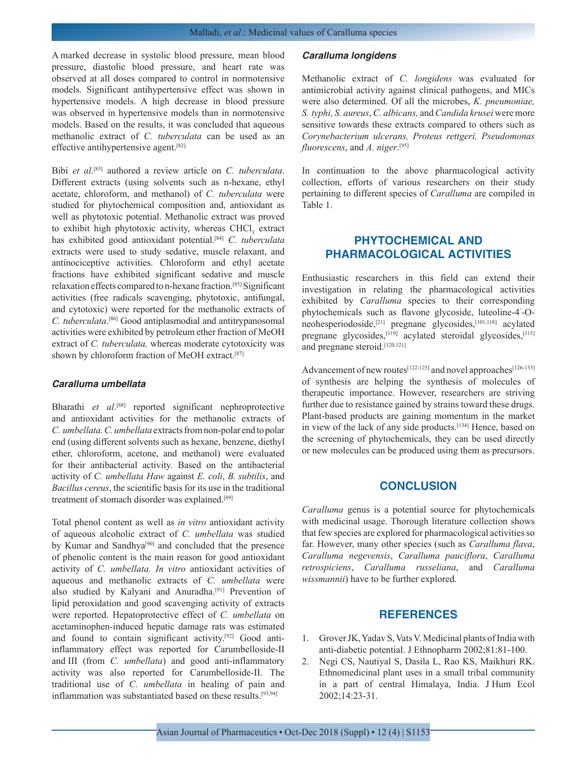A marked decrease in systolic blood pressure, mean blood pressure, diastolic blood pressure, and heart rate was observed at all doses compared to control in normotensive models. Significant antihypertensive effect was shown in hypertensive models. A high decrease in blood pressure was observed in hypertensive models than in normotensive models. Based on the results, it was concluded that aqueous methanolic extract of *C. tuberculata* can be used as an effective antihypertensive agent.[82]

Bibi *et al*. [83] authored a review article on *C. tuberculata*. Different extracts (using solvents such as n-hexane, ethyl acetate, chloroform, and methanol) of *C. tuberculata* were studied for phytochemical composition and, antioxidant as well as phytotoxic potential. Methanolic extract was proved to exhibit high phytotoxic activity, whereas CHCl<sub>3</sub> extract has exhibited good antioxidant potential.[84] *C. tuberculata*  extracts were used to study sedative, muscle relaxant, and antinociceptive activities. Chloroform and ethyl acetate fractions have exhibited significant sedative and muscle relaxation effects compared to n-hexane fraction.[85] Significant activities (free radicals scavenging, phytotoxic, antifungal, and cytotoxic) were reported for the methanolic extracts of *C. tuberculata*. [86] Good antiplasmodial and antitrypanosomal activities were exhibited by petroleum ether fraction of MeOH extract of *C. tuberculata,* whereas moderate cytotoxicity was shown by chloroform fraction of MeOH extract.[87]

## *Caralluma umbellata*

Bharathi et al.<sup>[88]</sup> reported significant nephroprotective and antioxidant activities for the methanolic extracts of *C. umbellata. C. umbellata* extracts from non-polar end to polar end (using different solvents such as hexane, benzene, diethyl ether, chloroform, acetone, and methanol) were evaluated for their antibacterial activity. Based on the antibacterial activity of *C. umbellata Haw* against *E. coli*, *B. subtilis*, and *Bacillus cereus*, the scientific basis for its use in the traditional treatment of stomach disorder was explained.<sup>[89]</sup>

Total phenol content as well as *in vitro* antioxidant activity of aqueous alcoholic extract of *C. umbellata* was studied by Kumar and Sandhya<sup>[90]</sup> and concluded that the presence of phenolic content is the main reason for good antioxidant activity of *C. umbellata. In vitro* antioxidant activities of aqueous and methanolic extracts of *C. umbellata* were also studied by Kalyani and Anuradha.[91] Prevention of lipid peroxidation and good scavenging activity of extracts were reported. Hepatoprotective effect of *C. umbellata* on acetaminophen-induced hepatic damage rats was estimated and found to contain significant activity.<sup>[92]</sup> Good antiinflammatory effect was reported for Carumbelloside-II and III (from *C. umbellata*) and good anti-inflammatory activity was also reported for Carumbelloside-II. The traditional use of *C. umbellata* in healing of pain and inflammation was substantiated based on these results.[93,94]

#### *Caralluma longidens*

Methanolic extract of *C. longidens* was evaluated for antimicrobial activity against clinical pathogens, and MICs were also determined. Of all the microbes, *K. pneumoniae, S. typhi, S. aureus*, *C. albicans,* and *Candida krusei* were more sensitive towards these extracts compared to others such as *Corynebacterium ulcerans, Proteus rettgeri, Pseudomonas fluorescens*, and *A. niger*. [95]

In continuation to the above pharmacological activity collection, efforts of various researchers on their study pertaining to different species of *Caralluma* are compiled in Table 1.

# **PHYTOCHEMICAL AND PHARMACOLOGICAL ACTIVITIES**

Enthusiastic researchers in this field can extend their investigation in relating the pharmacological activities exhibited by *Caralluma* species to their corresponding phytochemicals such as flavone glycoside, luteoline-4' -Oneohesperiodoside,<sup>[21]</sup> pregnane glycosides,<sup>[101,118]</sup> acylated pregnane glycosides,<sup>[119]</sup> acylated steroidal glycosides,<sup>[115]</sup> and pregnane steroid.[120,121]

Advancement of new routes<sup>[122-125]</sup> and novel approaches<sup>[126-133]</sup> of synthesis are helping the synthesis of molecules of therapeutic importance. However, researchers are striving further due to resistance gained by strains toward these drugs. Plant-based products are gaining momentum in the market in view of the lack of any side products.[134] Hence, based on the screening of phytochemicals, they can be used directly or new molecules can be produced using them as precursors.

## **CONCLUSION**

*Caralluma* genus is a potential source for phytochemicals with medicinal usage. Thorough literature collection shows that few species are explored for pharmacological activities so far. However, many other species (such as *Caralluma flava*, *Caralluma negevensis*, *Caralluma pauciflora*, *Caralluma retrospiciens*, *Caralluma russeliana*, and *Caralluma wissmannii*) have to be further explored.

## **REFERENCES**

- 1. Grover JK, Yadav S, Vats V. Medicinal plants of India with anti-diabetic potential. J Ethnopharm 2002;81:81-100.
- 2. Negi CS, Nautiyal S, Dasila L, Rao KS, Maikhuri RK. Ethnomedicinal plant uses in a small tribal community in a part of central Himalaya, India. J Hum Ecol 2002;14:23-31.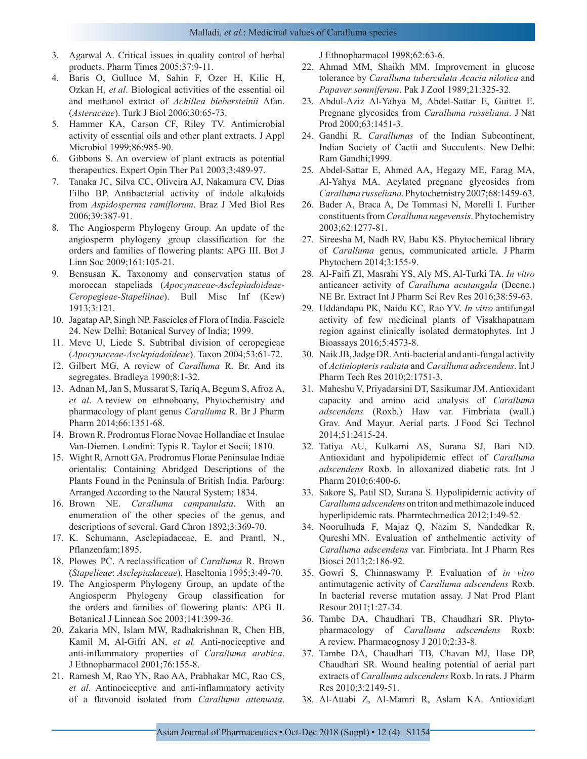- 3. Agarwal A. Critical issues in quality control of herbal products. Pharm Times 2005;37:9-11.
- 4. Baris O, Gulluce M, Sahin F, Ozer H, Kilic H, Ozkan H, *et al*. Biological activities of the essential oil and methanol extract of *Achillea biebersteinii* Afan. (*Asteraceae*). Turk J Biol 2006;30:65-73.
- 5. Hammer KA, Carson CF, Riley TV. Antimicrobial activity of essential oils and other plant extracts. J Appl Microbiol 1999;86:985-90.
- 6. Gibbons S. An overview of plant extracts as potential therapeutics. Expert Opin Ther Pa1 2003;3:489-97.
- 7. Tanaka JC, Silva CC, Oliveira AJ, Nakamura CV, Dias Filho BP. Antibacterial activity of indole alkaloids from *Aspidosperma ramiflorum*. Braz J Med Biol Res 2006;39:387-91.
- 8. The Angiosperm Phylogeny Group. An update of the angiosperm phylogeny group classification for the orders and families of flowering plants: APG III. Bot J Linn Soc 2009;161:105-21.
- 9. Bensusan K. Taxonomy and conservation status of moroccan stapeliads (*Apocynaceae-Asclepiadoideae-Ceropegieae-Stapeliinae*). Bull Misc Inf (Kew) 1913;3:121.
- 10. Jagatap AP, Singh NP. Fascicles of Flora of India. Fascicle 24. New Delhi: Botanical Survey of India; 1999.
- 11. Meve U, Liede S. Subtribal division of ceropegieae (*Apocynaceae-Asclepiadoideae*). Taxon 2004;53:61-72.
- 12. Gilbert MG, A review of *Caralluma* R. Br. And its segregates. Bradleya 1990;8:1-32.
- 13. Adnan M, Jan S, Mussarat S, Tariq A, Begum S, Afroz A, *et al*. A review on ethnoboany, Phytochemistry and pharmacology of plant genus *Caralluma* R. Br J Pharm Pharm 2014;66:1351-68.
- 14. Brown R. Prodromus Florae Novae Hollandiae et Insulae Van-Diemen. Londini: Typis R. Taylor et Socii; 1810.
- 15. Wight R, Arnott GA. Prodromus Florae Peninsulae Indiae orientalis: Containing Abridged Descriptions of the Plants Found in the Peninsula of British India. Parburg: Arranged According to the Natural System; 1834.
- 16. Brown NE. *Caralluma campanulata*. With an enumeration of the other species of the genus, and descriptions of several. Gard Chron 1892;3:369-70.
- 17. K. Schumann, Asclepiadaceae, E. and Prantl, N., Pflanzenfam;1895.
- 18. Plowes PC. A reclassification of *Caralluma* R. Brown (*Stapelieae*: *Asclepiadaceae*), Haseltonia 1995;3:49-70.
- 19. The Angiosperm Phylogeny Group, an update of the Angiosperm Phylogeny Group classification for the orders and families of flowering plants: APG II. Botanical J Linnean Soc 2003;141:399-36.
- 20. Zakaria MN, Islam MW, Radhakrishnan R, Chen HB, Kamil M, Al-Gifri AN, *et al.* Anti-nociceptive and anti-inflammatory properties of *Caralluma arabica*. J Ethnopharmacol 2001;76:155-8.
- 21. Ramesh M, Rao YN, Rao AA, Prabhakar MC, Rao CS, *et al*. Antinociceptive and anti-inflammatory activity of a flavonoid isolated from *Caralluma attenuata*.

J Ethnopharmacol 1998;62:63-6.

- 22. Ahmad MM, Shaikh MM. Improvement in glucose tolerance by *Caralluma tuberculata Acacia nilotica* and *Papaver somniferum*. Pak J Zool 1989;21:325-32.
- 23. Abdul-Aziz Al-Yahya M, Abdel-Sattar E, Guittet E. Pregnane glycosides from *Caralluma russeliana*. J Nat Prod 2000;63:1451-3.
- 24. Gandhi R. *Carallumas* of the Indian Subcontinent, Indian Society of Cactii and Succulents. New Delhi: Ram Gandhi;1999.
- 25. Abdel-Sattar E, Ahmed AA, Hegazy ME, Farag MA, Al-Yahya MA. Acylated pregnane glycosides from *Caralluma russeliana*. Phytochemistry 2007;68:1459-63.
- 26. Bader A, Braca A, De Tommasi N, Morelli I. Further constituents from *Caralluma negevensis*. Phytochemistry 2003;62:1277-81.
- 27. Sireesha M, Nadh RV, Babu KS. Phytochemical library of *Caralluma* genus, communicated article. J Pharm Phytochem 2014;3:155-9.
- 28. Al-Faifi ZI, Masrahi YS, Aly MS, Al-Turki TA. *In vitro* anticancer activity of *Caralluma acutangula* (Decne.) NE Br. Extract Int J Pharm Sci Rev Res 2016;38:59-63.
- 29. Uddandapu PK, Naidu KC, Rao YV. *In vitro* antifungal activity of few medicinal plants of Visakhapatnam region against clinically isolated dermatophytes. Int J Bioassays 2016;5:4573-8.
- 30. Naik JB, Jadge DR. Anti-bacterial and anti-fungal activity of *Actiniopteris radiata* and *Caralluma adscendens*. Int J Pharm Tech Res 2010;2:1751-3.
- 31. Maheshu V, Priyadarsini DT, Sasikumar JM. Antioxidant capacity and amino acid analysis of *Caralluma adscendens* (Roxb.) Haw var. Fimbriata (wall.) Grav. And Mayur. Aerial parts. J Food Sci Technol 2014;51:2415-24.
- 32. Tatiya AU, Kulkarni AS, Surana SJ, Bari ND. Antioxidant and hypolipidemic effect of *Caralluma adscendens* Roxb. In alloxanized diabetic rats. Int J Pharm 2010;6:400-6.
- 33. Sakore S, Patil SD, Surana S. Hypolipidemic activity of *Caralluma adscendens* on triton and methimazole induced hyperlipidemic rats. Pharmtechmedica 2012;1:49-52.
- 34. Noorulhuda F, Majaz Q, Nazim S, Nandedkar R, Qureshi MN. Evaluation of anthelmentic activity of *Caralluma adscendens* var. Fimbriata. Int J Pharm Res Biosci 2013;2:186-92.
- 35. Gowri S, Chinnaswamy P. Evaluation of *in vitro* antimutagenic activity of *Caralluma adscendens* Roxb. In bacterial reverse mutation assay. J Nat Prod Plant Resour 2011;1:27-34.
- 36. Tambe DA, Chaudhari TB, Chaudhari SR. Phytopharmacology of *Caralluma adscendens* Roxb: A review. Pharmacognosy J 2010;2:33-8.
- 37. Tambe DA, Chaudhari TB, Chavan MJ, Hase DP, Chaudhari SR. Wound healing potential of aerial part extracts of *Caralluma adscendens* Roxb. In rats. J Pharm Res 2010;3:2149-51.
- 38. Al-Attabi Z, Al-Mamri R, Aslam KA. Antioxidant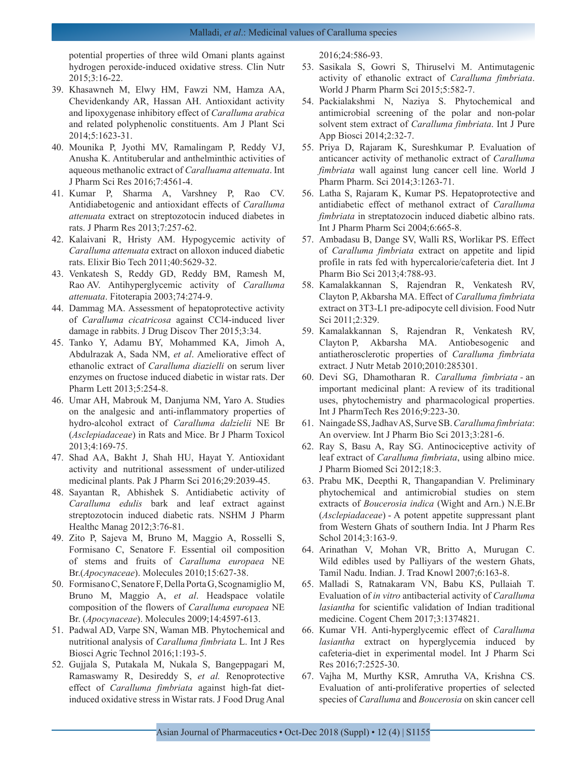potential properties of three wild Omani plants against hydrogen peroxide-induced oxidative stress. Clin Nutr 2015;3:16-22.

- 39. Khasawneh M, Elwy HM, Fawzi NM, Hamza AA, Chevidenkandy AR, Hassan AH. Antioxidant activity and lipoxygenase inhibitory effect of *Caralluma arabica* and related polyphenolic constituents. Am J Plant Sci 2014;5:1623-31.
- 40. Mounika P, Jyothi MV, Ramalingam P, Reddy VJ, Anusha K. Antituberular and anthelminthic activities of aqueous methanolic extract of *Caralluama attenuata*. Int J Pharm Sci Res 2016;7:4561-4.
- 41. Kumar P, Sharma A, Varshney P, Rao CV. Antidiabetogenic and antioxidant effects of *Caralluma attenuata* extract on streptozotocin induced diabetes in rats. J Pharm Res 2013;7:257-62.
- 42. Kalaivani R, Hristy AM. Hypogycemic activity of *Caralluma attenuata* extract on alloxon induced diabetic rats. Elixir Bio Tech 2011;40:5629-32.
- 43. Venkatesh S, Reddy GD, Reddy BM, Ramesh M, Rao AV. Antihyperglycemic activity of *Caralluma attenuata*. Fitoterapia 2003;74:274-9.
- 44. Dammag MA. Assessment of hepatoprotective activity of *Caralluma cicatricosa* against CCl4-induced liver damage in rabbits. J Drug Discov Ther 2015;3:34.
- 45. Tanko Y, Adamu BY, Mohammed KA, Jimoh A, Abdulrazak A, Sada NM, *et al*. Ameliorative effect of ethanolic extract of *Caralluma diazielli* on serum liver enzymes on fructose induced diabetic in wistar rats. Der Pharm Lett 2013;5:254-8.
- 46. Umar AH, Mabrouk M, Danjuma NM, Yaro A. Studies on the analgesic and anti-inflammatory properties of hydro-alcohol extract of *Caralluma dalzielii* NE Br (*Asclepiadaceae*) in Rats and Mice. Br J Pharm Toxicol 2013;4:169-75.
- 47. Shad AA, Bakht J, Shah HU, Hayat Y. Antioxidant activity and nutritional assessment of under-utilized medicinal plants. Pak J Pharm Sci 2016;29:2039-45.
- 48. Sayantan R, Abhishek S. Antidiabetic activity of *Caralluma edulis* bark and leaf extract against streptozotocin induced diabetic rats. NSHM J Pharm Healthc Manag 2012;3:76-81.
- 49. Zito P, Sajeva M, Bruno M, Maggio A, Rosselli S, Formisano C, Senatore F. Essential oil composition of stems and fruits of *Caralluma europaea* NE Br.(*Apocynaceae*). Molecules 2010;15:627-38.
- 50. Formisano C, Senatore F, Della Porta G, Scognamiglio M, Bruno M, Maggio A, *et al*. Headspace volatile composition of the flowers of *Caralluma europaea* NE Br. (*Apocynaceae*). Molecules 2009;14:4597-613.
- 51. Padwal AD, Varpe SN, Waman MB. Phytochemical and nutritional analysis of *Caralluma fimbriata* L. Int J Res Biosci Agric Technol 2016;1:193-5.
- 52. Gujjala S, Putakala M, Nukala S, Bangeppagari M, Ramaswamy R, Desireddy S, *et al.* Renoprotective effect of *Caralluma fimbriata* against high-fat dietinduced oxidative stress in Wistar rats. J Food Drug Anal

2016;24:586-93.

- 53. Sasikala S, Gowri S, Thiruselvi M. Antimutagenic activity of ethanolic extract of *Caralluma fimbriata*. World J Pharm Pharm Sci 2015;5:582-7.
- 54. Packialakshmi N, Naziya S. Phytochemical and antimicrobial screening of the polar and non-polar solvent stem extract of *Caralluma fimbriata*. Int J Pure App Biosci 2014;2:32-7.
- 55. Priya D, Rajaram K, Sureshkumar P. Evaluation of anticancer activity of methanolic extract of *Caralluma fimbriata* wall against lung cancer cell line. World J Pharm Pharm. Sci 2014;3:1263-71.
- 56. Latha S, Rajaram K, Kumar PS. Hepatoprotective and antidiabetic effect of methanol extract of *Caralluma fimbriata* in streptatozocin induced diabetic albino rats. Int J Pharm Pharm Sci 2004;6:665-8.
- 57. Ambadasu B, Dange SV, Walli RS, Worlikar PS. Effect of *Caralluma fimbriata* extract on appetite and lipid profile in rats fed with hypercalorie/cafeteria diet. Int J Pharm Bio Sci 2013;4:788-93.
- 58. Kamalakkannan S, Rajendran R, Venkatesh RV, Clayton P, Akbarsha MA. Effect of *Caralluma fimbriata* extract on 3T3-L1 pre-adipocyte cell division. Food Nutr Sci 2011;2:329.
- 59. Kamalakkannan S, Rajendran R, Venkatesh RV, Clayton P, Akbarsha MA. Antiobesogenic and antiatherosclerotic properties of *Caralluma fimbriata* extract. J Nutr Metab 2010;2010:285301.
- 60. Devi SG, Dhamotharan R. *Caralluma fimbriata -* an important medicinal plant: A review of its traditional uses, phytochemistry and pharmacological properties. Int J PharmTech Res 2016;9:223-30.
- 61. Naingade SS, Jadhav AS, Surve SB. *Caralluma fimbriata*: An overview. Int J Pharm Bio Sci 2013;3:281-6.
- 62. Ray S, Basu A, Ray SG. Antinociceptive activity of leaf extract of *Caralluma fimbriata*, using albino mice. J Pharm Biomed Sci 2012;18:3.
- 63. Prabu MK, Deepthi R, Thangapandian V. Preliminary phytochemical and antimicrobial studies on stem extracts of *Boucerosia indica* (Wight and Arn.) N.E.Br (*Asclepiadaceae*) - A potent appetite suppressant plant from Western Ghats of southern India. Int J Pharm Res Schol 2014;3:163-9.
- 64. Arinathan V, Mohan VR, Britto A, Murugan C. Wild edibles used by Palliyars of the western Ghats, Tamil Nadu. Indian. J. Trad Knowl 2007;6:163-8.
- 65. Malladi S, Ratnakaram VN, Babu KS, Pullaiah T. Evaluation of *in vitro* antibacterial activity of *Caralluma lasiantha* for scientific validation of Indian traditional medicine. Cogent Chem 2017;3:1374821.
- 66. Kumar VH. Anti-hyperglycemic effect of *Caralluma lasiantha* extract on hyperglycemia induced by cafeteria-diet in experimental model. Int J Pharm Sci Res 2016;7:2525-30.
- 67. Vajha M, Murthy KSR, Amrutha VA, Krishna CS. Evaluation of anti-proliferative properties of selected species of *Caralluma* and *Boucerosia* on skin cancer cell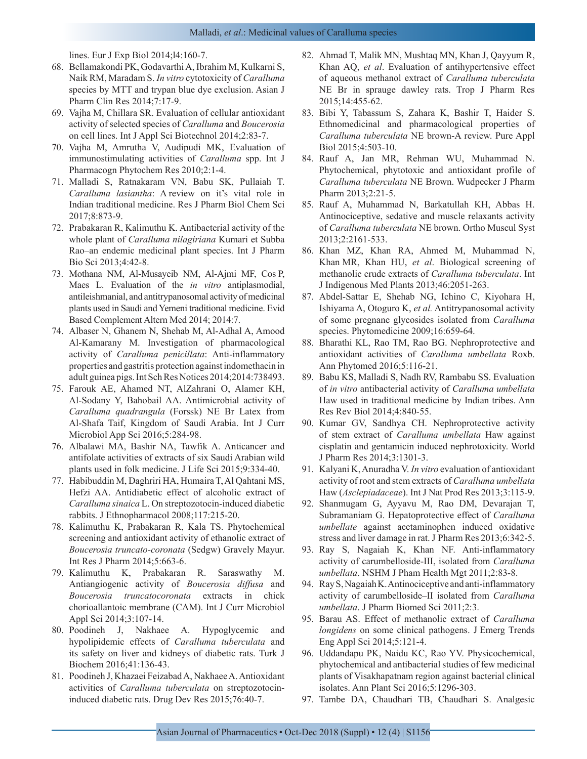lines. Eur J Exp Biol 2014;l4:160-7.

- 68. Bellamakondi PK, Godavarthi A, Ibrahim M, Kulkarni S, Naik RM, Maradam S. *In vitro* cytotoxicity of *Caralluma* species by MTT and trypan blue dye exclusion. Asian J Pharm Clin Res 2014;7:17-9.
- 69. Vajha M, Chillara SR. Evaluation of cellular antioxidant activity of selected species of *Caralluma* and *Boucerosia* on cell lines. Int J Appl Sci Biotechnol 2014;2:83-7.
- 70. Vajha M, Amrutha V, Audipudi MK, Evaluation of immunostimulating activities of *Caralluma* spp. Int J Pharmacogn Phytochem Res 2010;2:1-4.
- 71. Malladi S, Ratnakaram VN, Babu SK, Pullaiah T. *Caralluma lasiantha*: A review on it's vital role in Indian traditional medicine. Res J Pharm Biol Chem Sci 2017;8:873-9.
- 72. Prabakaran R, Kalimuthu K. Antibacterial activity of the whole plant of *Caralluma nilagiriana* Kumari et Subba Rao–an endemic medicinal plant species. Int J Pharm Bio Sci 2013;4:42-8.
- 73. Mothana NM, Al-Musayeib NM, Al-Ajmi MF, Cos P, Maes L. Evaluation of the *in vitro* antiplasmodial, antileishmanial, and antitrypanosomal activity of medicinal plants used in Saudi and Yemeni traditional medicine. Evid Based Complement Altern Med 2014; 2014:7.
- 74. Albaser N, Ghanem N, Shehab M, Al-Adhal A, Amood Al-Kamarany M. Investigation of pharmacological activity of *Caralluma penicillata*: Anti-inflammatory properties and gastritis protection against indomethacin in adult guinea pigs. Int Sch Res Notices 2014;2014:738493.
- 75. Farouk AE, Ahamed NT, AlZahrani O, Alamer KH, Al-Sodany Y, Bahobail AA. Antimicrobial activity of *Caralluma quadrangula* (Forssk) NE Br Latex from Al-Shafa Taif, Kingdom of Saudi Arabia. Int J Curr Microbiol App Sci 2016;5:284-98.
- 76. Albalawi MA, Bashir NA, Tawfik A. Anticancer and antifolate activities of extracts of six Saudi Arabian wild plants used in folk medicine. J Life Sci 2015;9:334-40.
- 77. Habibuddin M, Daghriri HA, Humaira T, Al Qahtani MS, Hefzi AA. Antidiabetic effect of alcoholic extract of *Caralluma sinaica* L. On streptozotocin-induced diabetic rabbits. J Ethnopharmacol 2008;117:215-20.
- 78. Kalimuthu K, Prabakaran R, Kala TS. Phytochemical screening and antioxidant activity of ethanolic extract of *Boucerosia truncato-coronata* (Sedgw) Gravely Mayur. Int Res J Pharm 2014;5:663-6.
- 79. Kalimuthu K, Prabakaran R. Saraswathy M. Antiangiogenic activity of *Boucerosia diffusa* and *Boucerosia truncatocoronata* extracts in chick chorioallantoic membrane (CAM). Int J Curr Microbiol Appl Sci 2014;3:107-14.
- 80. Poodineh J, Nakhaee A. Hypoglycemic and hypolipidemic effects of *Caralluma tuberculata* and its safety on liver and kidneys of diabetic rats. Turk J Biochem 2016;41:136-43.
- 81. Poodineh J, Khazaei Feizabad A, Nakhaee A. Antioxidant activities of *Caralluma tuberculata* on streptozotocininduced diabetic rats. Drug Dev Res 2015;76:40-7.
- 82. Ahmad T, Malik MN, Mushtaq MN, Khan J, Qayyum R, Khan AQ, *et al*. Evaluation of antihypertensive effect of aqueous methanol extract of *Caralluma tuberculata* NE Br in sprauge dawley rats. Trop J Pharm Res 2015;14:455-62.
- 83. Bibi Y, Tabassum S, Zahara K, Bashir T, Haider S. Ethnomedicinal and pharmacological properties of *Caralluma tuberculata* NE brown-A review. Pure Appl Biol 2015;4:503-10.
- 84. Rauf A, Jan MR, Rehman WU, Muhammad N. Phytochemical, phytotoxic and antioxidant profile of *Caralluma tuberculata* NE Brown. Wudpecker J Pharm Pharm 2013;2:21-5.
- 85. Rauf A, Muhammad N, Barkatullah KH, Abbas H. Antinociceptive, sedative and muscle relaxants activity of *Caralluma tuberculata* NE brown. Ortho Muscul Syst 2013;2:2161-533.
- 86. Khan MZ, Khan RA, Ahmed M, Muhammad N, Khan MR, Khan HU, *et al*. Biological screening of methanolic crude extracts of *Caralluma tuberculata*. Int J Indigenous Med Plants 2013;46:2051-263.
- 87. Abdel-Sattar E, Shehab NG, Ichino C, Kiyohara H, Ishiyama A, Otoguro K, *et al.* Antitrypanosomal activity of some pregnane glycosides isolated from *Caralluma*  species. Phytomedicine 2009;16:659-64.
- 88. Bharathi KL, Rao TM, Rao BG. Nephroprotective and antioxidant activities of *Caralluma umbellata* Roxb. Ann Phytomed 2016;5:116-21.
- 89. Babu KS, Malladi S, Nadh RV, Rambabu SS. Evaluation of *in vitro* antibacterial activity of *Caralluma umbellata* Haw used in traditional medicine by Indian tribes. Ann Res Rev Biol 2014;4:840-55.
- 90. Kumar GV, Sandhya CH. Nephroprotective activity of stem extract of *Caralluma umbellata* Haw against cisplatin and gentamicin induced nephrotoxicity. World J Pharm Res 2014;3:1301-3.
- 91. Kalyani K, Anuradha V. *In vitro* evaluation of antioxidant activity of root and stem extracts of *Caralluma umbellata* Haw (*Asclepiadaceae*). Int J Nat Prod Res 2013;3:115-9.
- 92. Shanmugam G, Ayyavu M, Rao DM, Devarajan T, Subramaniam G. Hepatoprotective effect of *Caralluma umbellate* against acetaminophen induced oxidative stress and liver damage in rat. J Pharm Res 2013;6:342-5.
- 93. Ray S, Nagaiah K, Khan NF. Anti-inflammatory activity of carumbelloside-III, isolated from *Caralluma umbellata*. NSHM J Pham Health Mgt 2011;2:83-8.
- 94. Ray S, Nagaiah K. Antinociceptive and anti-inflammatory activity of carumbelloside–II isolated from *Caralluma umbellata*. J Pharm Biomed Sci 2011;2:3.
- 95. Barau AS. Effect of methanolic extract of *Caralluma longidens* on some clinical pathogens. J Emerg Trends Eng Appl Sci 2014;5:121-4.
- 96. Uddandapu PK, Naidu KC, Rao YV. Physicochemical, phytochemical and antibacterial studies of few medicinal plants of Visakhapatnam region against bacterial clinical isolates. Ann Plant Sci 2016;5:1296-303.
- 97. Tambe DA, Chaudhari TB, Chaudhari S. Analgesic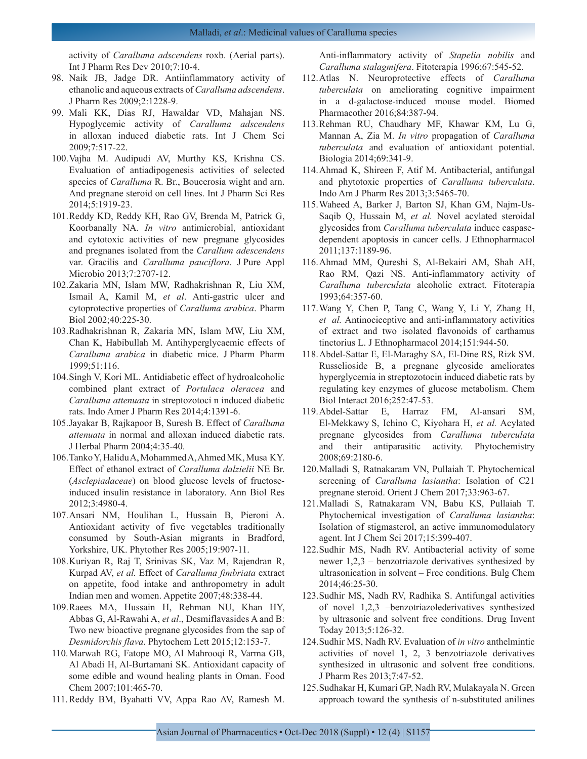activity of *Caralluma adscendens* roxb. (Aerial parts). Int J Pharm Res Dev 2010;7:10-4.

- 98. Naik JB, Jadge DR. Antiinflammatory activity of ethanolic and aqueous extracts of *Caralluma adscendens*. J Pharm Res 2009;2:1228-9.
- 99. Mali KK, Dias RJ, Hawaldar VD, Mahajan NS. Hypoglycemic activity of *Caralluma adscendens*  in alloxan induced diabetic rats. Int J Chem Sci 2009;7:517-22.
- 100.Vajha M. Audipudi AV, Murthy KS, Krishna CS. Evaluation of antiadipogenesis activities of selected species of *Caralluma* R. Br., Boucerosia wight and arn. And pregnane steroid on cell lines. Int J Pharm Sci Res 2014;5:1919-23.
- 101.Reddy KD, Reddy KH, Rao GV, Brenda M, Patrick G, Koorbanally NA. *In vitro* antimicrobial, antioxidant and cytotoxic activities of new pregnane glycosides and pregnanes isolated from the *Carallum adescendens* var. Gracilis and *Caralluma pauciflora*. J Pure Appl Microbio 2013;7:2707-12.
- 102.Zakaria MN, Islam MW, Radhakrishnan R, Liu XM, Ismail A, Kamil M, *et al*. Anti-gastric ulcer and cytoprotective properties of *Caralluma arabica*. Pharm Biol 2002;40:225-30.
- 103.Radhakrishnan R, Zakaria MN, Islam MW, Liu XM, Chan K, Habibullah M. Antihyperglycaemic effects of *Caralluma arabica* in diabetic mice. J Pharm Pharm 1999;51:116.
- 104.Singh V, Kori ML. Antidiabetic effect of hydroalcoholic combined plant extract of *Portulaca oleracea* and *Caralluma attenuata* in streptozotoci n induced diabetic rats. Indo Amer J Pharm Res 2014;4:1391-6.
- 105.Jayakar B, Rajkapoor B, Suresh B. Effect of *Caralluma attenuata* in normal and alloxan induced diabetic rats. J Herbal Pharm 2004;4:35-40.
- 106.Tanko Y, Halidu A, Mohammed A, Ahmed MK, Musa KY. Effect of ethanol extract of *Caralluma dalzielii* NE Br. (*Asclepiadaceae*) on blood glucose levels of fructoseinduced insulin resistance in laboratory. Ann Biol Res 2012;3:4980-4.
- 107.Ansari NM, Houlihan L, Hussain B, Pieroni A. Antioxidant activity of five vegetables traditionally consumed by South-Asian migrants in Bradford, Yorkshire, UK. Phytother Res 2005;19:907-11.
- 108.Kuriyan R, Raj T, Srinivas SK, Vaz M, Rajendran R, Kurpad AV, *et al.* Effect of *Caralluma fimbriata* extract on appetite, food intake and anthropometry in adult Indian men and women. Appetite 2007;48:338-44.
- 109.Raees MA, Hussain H, Rehman NU, Khan HY, Abbas G, Al-Rawahi A, *et al*., Desmiflavasides A and B: Two new bioactive pregnane glycosides from the sap of *Desmidorchis flava*. Phytochem Lett 2015;12:153-7.
- 110.Marwah RG, Fatope MO, Al Mahrooqi R, Varma GB, Al Abadi H, Al-Burtamani SK. Antioxidant capacity of some edible and wound healing plants in Oman. Food Chem 2007;101:465-70.
- 111.Reddy BM, Byahatti VV, Appa Rao AV, Ramesh M.

Anti-inflammatory activity of *Stapelia nobilis* and *Caralluma stalagmifera*. Fitoterapia 1996;67:545-52.

- 112.Atlas N. Neuroprotective effects of *Caralluma tuberculata* on ameliorating cognitive impairment in a d-galactose-induced mouse model. Biomed Pharmacother 2016;84:387-94.
- 113.Rehman RU, Chaudhary MF, Khawar KM, Lu G, Mannan A, Zia M. *In vitro* propagation of *Caralluma tuberculata* and evaluation of antioxidant potential. Biologia 2014;69:341-9.
- 114.Ahmad K, Shireen F, Atif M. Antibacterial, antifungal and phytotoxic properties of *Caralluma tuberculata*. Indo Am J Pharm Res 2013;3:5465-70.
- 115.Waheed A, Barker J, Barton SJ, Khan GM, Najm-Us-Saqib Q, Hussain M, *et al.* Novel acylated steroidal glycosides from *Caralluma tuberculata* induce caspasedependent apoptosis in cancer cells. J Ethnopharmacol 2011;137:1189-96.
- 116.Ahmad MM, Qureshi S, Al-Bekairi AM, Shah AH, Rao RM, Qazi NS. Anti-inflammatory activity of *Caralluma tuberculata* alcoholic extract. Fitoterapia 1993;64:357-60.
- 117.Wang Y, Chen P, Tang C, Wang Y, Li Y, Zhang H, *et al.* Antinociceptive and anti-inflammatory activities of extract and two isolated flavonoids of carthamus tinctorius L. J Ethnopharmacol 2014;151:944-50.
- 118.Abdel-Sattar E, El-Maraghy SA, El-Dine RS, Rizk SM. Russelioside B, a pregnane glycoside ameliorates hyperglycemia in streptozotocin induced diabetic rats by regulating key enzymes of glucose metabolism. Chem Biol Interact 2016;252:47-53.
- 119.Abdel-Sattar E, Harraz FM, Al-ansari SM, El-Mekkawy S, Ichino C, Kiyohara H, *et al.* Acylated pregnane glycosides from *Caralluma tuberculata* and their antiparasitic activity. Phytochemistry 2008;69:2180-6.
- 120.Malladi S, Ratnakaram VN, Pullaiah T. Phytochemical screening of *Caralluma lasiantha*: Isolation of C21 pregnane steroid. Orient J Chem 2017;33:963-67.
- 121.Malladi S, Ratnakaram VN, Babu KS, Pullaiah T. Phytochemical investigation of *Caralluma lasiantha*: Isolation of stigmasterol, an active immunomodulatory agent. Int J Chem Sci 2017;15:399-407.
- 122.Sudhir MS, Nadh RV. Antibacterial activity of some newer 1,2,3 – benzotriazole derivatives synthesized by ultrasonication in solvent – Free conditions. Bulg Chem 2014;46:25-30.
- 123.Sudhir MS, Nadh RV, Radhika S. Antifungal activities of novel 1,2,3 –benzotriazolederivatives synthesized by ultrasonic and solvent free conditions. Drug Invent Today 2013;5:126-32.
- 124.Sudhir MS, Nadh RV. Evaluation of *in vitro* anthelmintic activities of novel 1, 2, 3–benzotriazole derivatives synthesized in ultrasonic and solvent free conditions. J Pharm Res 2013;7:47-52.
- 125.Sudhakar H, Kumari GP, Nadh RV, Mulakayala N. Green approach toward the synthesis of n-substituted anilines